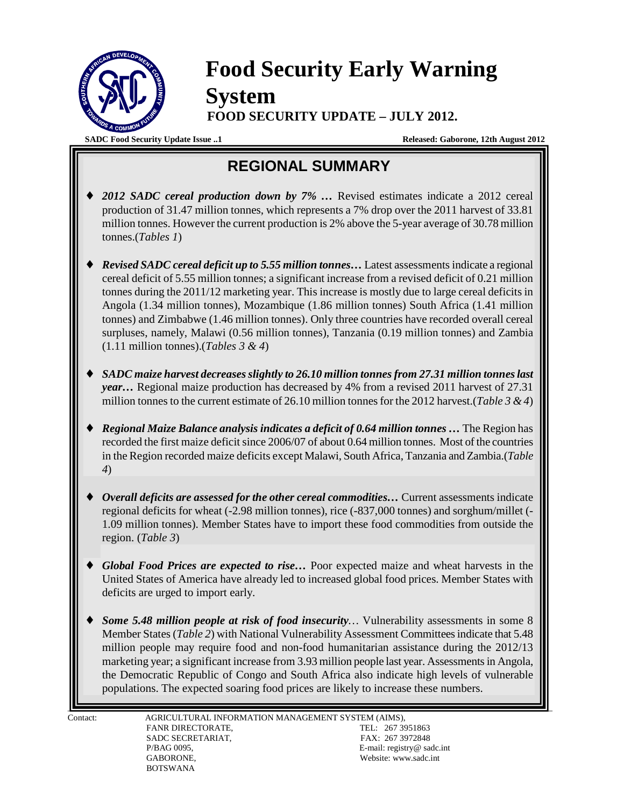

## **Food Security Early Warning System FOOD SECURITY UPDATE – JULY 2012.**

**SADC Food Security Update Issue ..1 Released: Gaborone, 12th August 2012**

## **REGIONAL SUMMARY**

- 2012 SADC cereal production down by 7% ... Revised estimates indicate a 2012 cereal production of 31.47 million tonnes, which represents a 7% drop over the 2011 harvest of 33.81 million tonnes. However the current production is 2% above the 5-year average of 30.78 million tonnes.(*Tables 1*)
- ♦ *Revised SADC cereal deficit up to 5.55 million tonnes…* Latest assessments indicate a regional cereal deficit of 5.55 million tonnes; a significant increase from a revised deficit of 0.21 million tonnes during the 2011/12 marketing year. This increase is mostly due to large cereal deficits in Angola (1.34 million tonnes), Mozambique (1.86 million tonnes) South Africa (1.41 million tonnes) and Zimbabwe (1.46 million tonnes). Only three countries have recorded overall cereal surpluses, namely, Malawi (0.56 million tonnes), Tanzania (0.19 million tonnes) and Zambia (1.11 million tonnes).(*Tables 3 & 4*)
- ♦ *SADC maize harvest decreases slightly to 26.10 million tonnes from 27.31 million tonnes last year…* Regional maize production has decreased by 4% from a revised 2011 harvest of 27.31 million tonnes to the current estimate of 26.10 million tonnes for the 2012 harvest.(*Table 3 & 4*)
- *Regional Maize Balance analysis indicates a deficit of 0.64 million tonnes ... The Region has* recorded the first maize deficit since 2006/07 of about 0.64 million tonnes. Most of the countries in the Region recorded maize deficits except Malawi, South Africa, Tanzania and Zambia.(*Table 4*)
- *Overall deficits are assessed for the other cereal commodities...* **Current assessments indicate** regional deficits for wheat (-2.98 million tonnes), rice (-837,000 tonnes) and sorghum/millet (- 1.09 million tonnes). Member States have to import these food commodities from outside the region. (*Table 3*)
- Global Food Prices are expected to rise... Poor expected maize and wheat harvests in the United States of America have already led to increased global food prices. Member States with deficits are urged to import early.
- **Some 5.48 million people at risk of food insecurity**... Vulnerability assessments in some 8 Member States (*Table 2*) with National Vulnerability Assessment Committees indicate that 5.48 million people may require food and non-food humanitarian assistance during the 2012/13 marketing year; a significant increase from 3.93 million people last year. Assessments in Angola, the Democratic Republic of Congo and South Africa also indicate high levels of vulnerable populations. The expected soaring food prices are likely to increase these numbers.

\_\_\_\_\_\_\_\_\_\_\_\_\_\_\_\_\_\_\_\_\_\_\_\_\_\_\_\_\_\_\_\_\_\_\_\_\_\_\_\_\_\_\_\_\_\_\_\_\_\_\_\_\_\_\_\_\_\_\_\_\_\_\_\_\_\_\_\_\_\_\_\_\_\_\_\_\_\_\_\_\_\_\_\_\_\_\_\_\_\_\_\_\_\_\_\_\_\_\_\_\_\_\_\_\_\_\_\_\_\_\_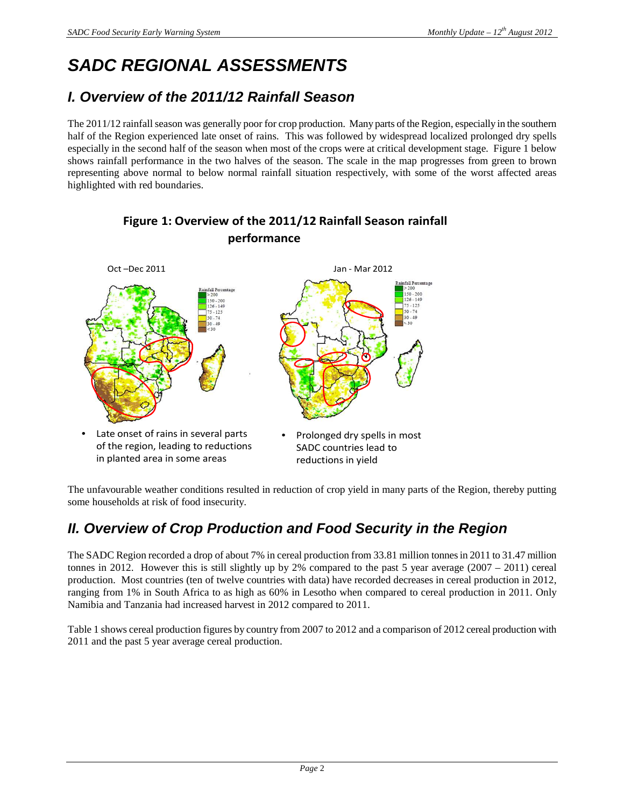# **SADC REGIONAL ASSESSMENTS**

### **I. Overview of the 2011/12 Rainfall Season**

The 2011/12 rainfall season was generally poor for crop production. Many parts of the Region, especially in the southern half of the Region experienced late onset of rains. This was followed by widespread localized prolonged dry spells especially in the second half of the season when most of the crops were at critical development stage. Figure 1 below shows rainfall performance in the two halves of the season. The scale in the map progresses from green to brown representing above normal to below normal rainfall situation respectively, with some of the worst affected areas highlighted with red boundaries.



### Figure 1: Overview of the 2011/12 Rainfall Season rainfall performance

The unfavourable weather conditions resulted in reduction of crop yield in many parts of the Region, thereby putting some households at risk of food insecurity.

### **II. Overview of Crop Production and Food Security in the Region**

The SADC Region recorded a drop of about 7% in cereal production from 33.81 million tonnes in 2011 to 31.47 million tonnes in 2012. However this is still slightly up by 2% compared to the past 5 year average (2007 – 2011) cereal production. Most countries (ten of twelve countries with data) have recorded decreases in cereal production in 2012, ranging from 1% in South Africa to as high as 60% in Lesotho when compared to cereal production in 2011. Only Namibia and Tanzania had increased harvest in 2012 compared to 2011.

Table 1 shows cereal production figures by country from 2007 to 2012 and a comparison of 2012 cereal production with 2011 and the past 5 year average cereal production.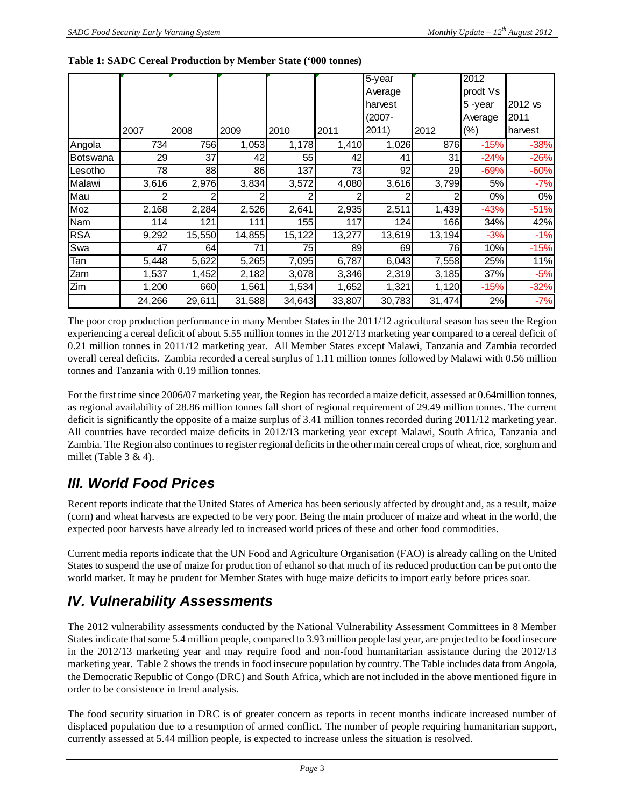|            |        |        |        |        |        | 5-year    |        | 2012     |         |
|------------|--------|--------|--------|--------|--------|-----------|--------|----------|---------|
|            |        |        |        |        |        | Average   |        | prodt Vs |         |
|            |        |        |        |        |        | harvest   |        | 5-year   | 2012 vs |
|            |        |        |        |        |        | $(2007 -$ |        | Average  | 2011    |
|            | 2007   | 2008   | 2009   | 2010   | 2011   | 2011)     | 2012   | $(\%)$   | harvest |
| Angola     | 734    | 756    | 1,053  | 1,178  | 1,410  | 1,026     | 876    | $-15%$   | $-38%$  |
| Botswana   | 29     | 37     | 42     | 55     | 42     | 41        | 31     | $-24%$   | $-26%$  |
| Lesotho    | 78     | 88     | 86     | 137    | 73     | 92        | 29     | $-69%$   | $-60%$  |
| Malawi     | 3,616  | 2,976  | 3,834  | 3,572  | 4,080  | 3,616     | 3,799  | 5%       | $-7%$   |
| Mau        |        |        |        |        |        | 2         |        | 0%       | 0%      |
| Moz        | 2,168  | 2,284  | 2,526  | 2,641  | 2,935  | 2,511     | 1,439  | $-43%$   | $-51%$  |
| Nam        | 114    | 121    | 111    | 155    | 117    | 124       | 166    | 34%      | 42%     |
| <b>RSA</b> | 9,292  | 15,550 | 14,855 | 15,122 | 13,277 | 13,619    | 13,194 | $-3%$    | $-1%$   |
| Swa        | 47     | 64     | 71     | 75     | 89     | 69        | 76     | 10%      | $-15%$  |
| Tan        | 5,448  | 5,622  | 5,265  | 7,095  | 6,787  | 6,043     | 7,558  | 25%      | 11%     |
| Zam        | 1,537  | 1,452  | 2,182  | 3,078  | 3,346  | 2,319     | 3,185  | 37%      | $-5%$   |
| Zim        | 1,200  | 660    | 1,561  | 1,534  | 1,652  | 1,321     | 1,120  | $-15%$   | $-32%$  |
|            | 24,266 | 29,611 | 31,588 | 34,643 | 33,807 | 30,783    | 31,474 | 2%       | $-7%$   |

#### **Table 1: SADC Cereal Production by Member State ('000 tonnes)**

The poor crop production performance in many Member States in the 2011/12 agricultural season has seen the Region experiencing a cereal deficit of about 5.55 million tonnes in the 2012/13 marketing year compared to a cereal deficit of 0.21 million tonnes in 2011/12 marketing year. All Member States except Malawi, Tanzania and Zambia recorded overall cereal deficits. Zambia recorded a cereal surplus of 1.11 million tonnes followed by Malawi with 0.56 million tonnes and Tanzania with 0.19 million tonnes.

For the first time since 2006/07 marketing year, the Region has recorded a maize deficit, assessed at 0.64million tonnes, as regional availability of 28.86 million tonnes fall short of regional requirement of 29.49 million tonnes. The current deficit is significantly the opposite of a maize surplus of 3.41 million tonnes recorded during 2011/12 marketing year. All countries have recorded maize deficits in 2012/13 marketing year except Malawi, South Africa, Tanzania and Zambia. The Region also continues to register regional deficits in the other main cereal crops of wheat, rice, sorghum and millet (Table  $3 & 4$ ).

### **III. World Food Prices**

Recent reports indicate that the United States of America has been seriously affected by drought and, as a result, maize (corn) and wheat harvests are expected to be very poor. Being the main producer of maize and wheat in the world, the expected poor harvests have already led to increased world prices of these and other food commodities.

Current media reports indicate that the UN Food and Agriculture Organisation (FAO) is already calling on the United States to suspend the use of maize for production of ethanol so that much of its reduced production can be put onto the world market. It may be prudent for Member States with huge maize deficits to import early before prices soar.

### **IV. Vulnerability Assessments**

The 2012 vulnerability assessments conducted by the National Vulnerability Assessment Committees in 8 Member States indicate that some 5.4 million people, compared to 3.93 million people last year, are projected to be food insecure in the 2012/13 marketing year and may require food and non-food humanitarian assistance during the 2012/13 marketing year. Table 2 shows the trends in food insecure population by country. The Table includes data from Angola, the Democratic Republic of Congo (DRC) and South Africa, which are not included in the above mentioned figure in order to be consistence in trend analysis.

The food security situation in DRC is of greater concern as reports in recent months indicate increased number of displaced population due to a resumption of armed conflict. The number of people requiring humanitarian support, currently assessed at 5.44 million people, is expected to increase unless the situation is resolved.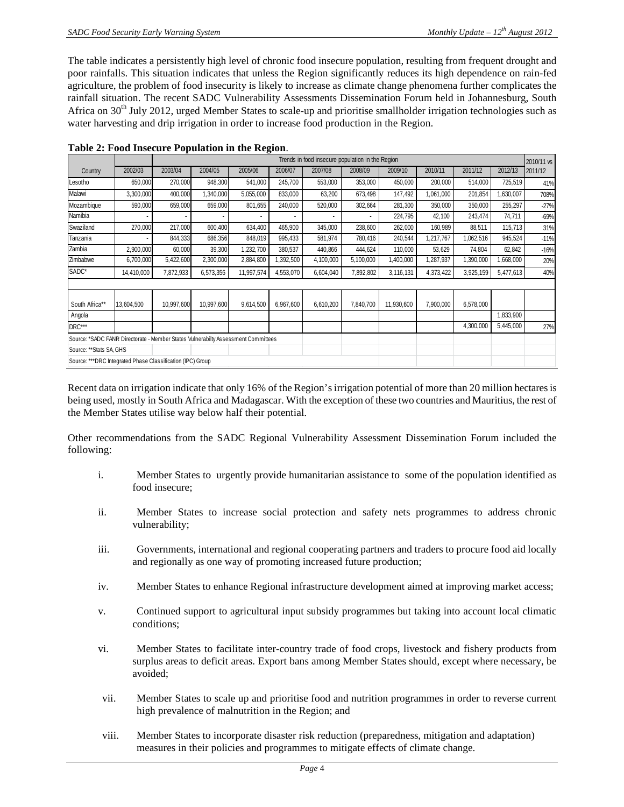The table indicates a persistently high level of chronic food insecure population, resulting from frequent drought and poor rainfalls. This situation indicates that unless the Region significantly reduces its high dependence on rain-fed agriculture, the problem of food insecurity is likely to increase as climate change phenomena further complicates the rainfall situation. The recent SADC Vulnerability Assessments Dissemination Forum held in Johannesburg, South Africa on 30<sup>th</sup> July 2012, urged Member States to scale-up and prioritise smallholder irrigation technologies such as water harvesting and drip irrigation in order to increase food production in the Region.

|                                                                                   |            |            | Trends in food insecure population in the Region<br>2010/11 vs |            |           |           |           |            |           |           |           |         |  |  |  |
|-----------------------------------------------------------------------------------|------------|------------|----------------------------------------------------------------|------------|-----------|-----------|-----------|------------|-----------|-----------|-----------|---------|--|--|--|
| Country                                                                           | 2002/03    | 2003/04    | 2004/05                                                        | 2005/06    | 2006/07   | 2007/08   | 2008/09   | 2009/10    | 2010/11   | 2011/12   | 2012/13   | 2011/12 |  |  |  |
| Lesotho                                                                           | 650,000    | 270,000    | 948,300                                                        | 541,000    | 245,700   | 553,000   | 353,000   | 450,000    | 200,000   | 514,000   | 725,519   | 41%     |  |  |  |
| Malawi                                                                            | 3,300,000  | 400,000    | 1,340,000                                                      | 5,055,000  | 833,000   | 63,200    | 673,498   | 147,492    | 1,061,000 | 201,854   | 1,630,007 | 708%    |  |  |  |
| Mozambique                                                                        | 590,000    | 659,000    | 659,000                                                        | 801,655    | 240,000   | 520,000   | 302,664   | 281,300    | 350,000   | 350,000   | 255,297   | $-27%$  |  |  |  |
| Namibia                                                                           |            |            |                                                                |            |           |           | $\sim$    | 224,795    | 42,100    | 243,474   | 74,711    | $-69%$  |  |  |  |
| Swaziland                                                                         | 270,000    | 217,000    | 600,400                                                        | 634,400    | 465,900   | 345,000   | 238,600   | 262,000    | 160,989   | 88,511    | 115,713   | 31%     |  |  |  |
| Tanzania                                                                          |            | 844,333    | 686,356                                                        | 848,019    | 995,433   | 581,974   | 780,416   | 240,544    | 1,217,767 | 1,062,516 | 945,524   | $-11%$  |  |  |  |
| Zambia                                                                            | 2,900,000  | 60,000     | 39,300                                                         | 1,232,700  | 380,537   | 440,866   | 444,624   | 110,000    | 53,629    | 74,804    | 62,842    | $-16%$  |  |  |  |
| Zimbabwe                                                                          | 6,700,000  | 5,422,600  | 2,300,000                                                      | 2,884,800  | ,392,500  | 4,100,000 | 5,100,000 | 1,400,000  | 1,287,937 | 1,390,000 | 1,668,000 | 20%     |  |  |  |
| SADC*                                                                             | 14,410,000 | 7,872,933  | 6,573,356                                                      | 11,997,574 | 4,553,070 | 6,604,040 | 7,892,802 | 3,116,131  | 4,373,422 | 3,925,159 | 5,477,613 | 40%     |  |  |  |
|                                                                                   |            |            |                                                                |            |           |           |           |            |           |           |           |         |  |  |  |
| South Africa**                                                                    | 13,604,500 | 10,997,600 | 10,997,600                                                     | 9,614,500  | 6,967,600 | 6,610,200 | 7,840,700 | 11,930,600 | 7,900,000 | 6,578,000 |           |         |  |  |  |
| Angola                                                                            |            |            |                                                                |            |           |           |           |            |           |           | 1,833,900 |         |  |  |  |
| DRC***                                                                            |            |            |                                                                |            |           |           |           |            |           | 4,300,000 | 5,445,000 | 27%     |  |  |  |
| Source: *SADC FANR Directorate - Member States Vulnerabilty Assessment Committees |            |            |                                                                |            |           |           |           |            |           |           |           |         |  |  |  |
| Source: ** Stats SA, GHS                                                          |            |            |                                                                |            |           |           |           |            |           |           |           |         |  |  |  |
| Source: ***DRC Integrated Phase Classification (IPC) Group                        |            |            |                                                                |            |           |           |           |            |           |           |           |         |  |  |  |

|  |  | Table 2: Food Insecure Population in the Region. |
|--|--|--------------------------------------------------|
|  |  |                                                  |

Recent data on irrigation indicate that only 16% of the Region's irrigation potential of more than 20 million hectares is being used, mostly in South Africa and Madagascar. With the exception of these two countries and Mauritius, the rest of the Member States utilise way below half their potential.

Other recommendations from the SADC Regional Vulnerability Assessment Dissemination Forum included the following:

- i. Member States to urgently provide humanitarian assistance to some of the population identified as food insecure;
- ii. Member States to increase social protection and safety nets programmes to address chronic vulnerability;
- iii. Governments, international and regional cooperating partners and traders to procure food aid locally and regionally as one way of promoting increased future production;
- iv. Member States to enhance Regional infrastructure development aimed at improving market access;
- v. Continued support to agricultural input subsidy programmes but taking into account local climatic conditions;
- vi. Member States to facilitate inter-country trade of food crops, livestock and fishery products from surplus areas to deficit areas. Export bans among Member States should, except where necessary, be avoided;
- vii. Member States to scale up and prioritise food and nutrition programmes in order to reverse current high prevalence of malnutrition in the Region; and
- viii. Member States to incorporate disaster risk reduction (preparedness, mitigation and adaptation) measures in their policies and programmes to mitigate effects of climate change.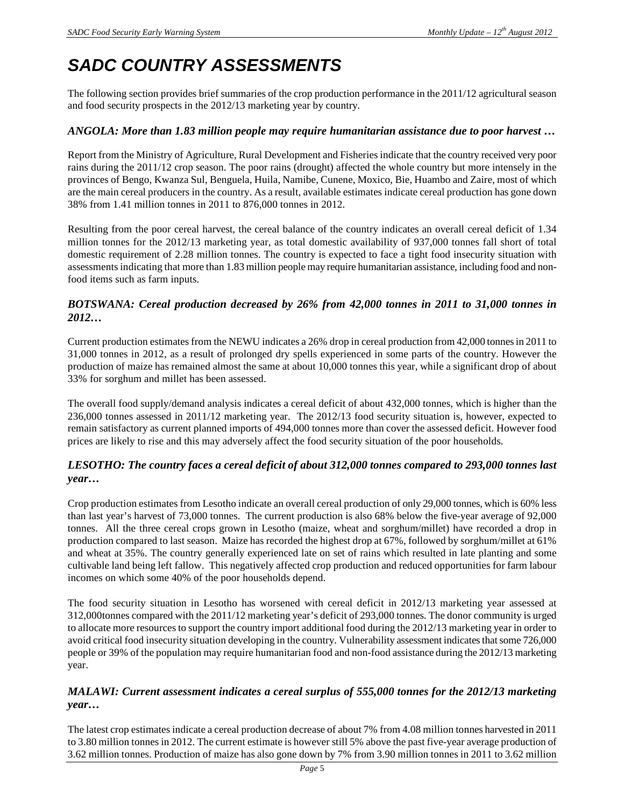## **SADC COUNTRY ASSESSMENTS**

The following section provides brief summaries of the crop production performance in the 2011/12 agricultural season and food security prospects in the 2012/13 marketing year by country.

#### *ANGOLA: More than 1.83 million people may require humanitarian assistance due to poor harvest …*

Report from the Ministry of Agriculture, Rural Development and Fisheries indicate that the country received very poor rains during the 2011/12 crop season. The poor rains (drought) affected the whole country but more intensely in the provinces of Bengo, Kwanza Sul, Benguela, Huila, Namibe, Cunene, Moxico, Bie, Huambo and Zaire, most of which are the main cereal producers in the country. As a result, available estimates indicate cereal production has gone down 38% from 1.41 million tonnes in 2011 to 876,000 tonnes in 2012.

Resulting from the poor cereal harvest, the cereal balance of the country indicates an overall cereal deficit of 1.34 million tonnes for the 2012/13 marketing year, as total domestic availability of 937,000 tonnes fall short of total domestic requirement of 2.28 million tonnes. The country is expected to face a tight food insecurity situation with assessments indicating that more than 1.83 million people may require humanitarian assistance, including food and nonfood items such as farm inputs.

#### *BOTSWANA: Cereal production decreased by 26% from 42,000 tonnes in 2011 to 31,000 tonnes in 2012…*

Current production estimates from the NEWU indicates a 26% drop in cereal production from 42,000 tonnes in 2011 to 31,000 tonnes in 2012, as a result of prolonged dry spells experienced in some parts of the country. However the production of maize has remained almost the same at about 10,000 tonnes this year, while a significant drop of about 33% for sorghum and millet has been assessed.

The overall food supply/demand analysis indicates a cereal deficit of about 432,000 tonnes, which is higher than the 236,000 tonnes assessed in 2011/12 marketing year. The 2012/13 food security situation is, however, expected to remain satisfactory as current planned imports of 494,000 tonnes more than cover the assessed deficit. However food prices are likely to rise and this may adversely affect the food security situation of the poor households.

#### *LESOTHO: The country faces a cereal deficit of about 312,000 tonnes compared to 293,000 tonnes last year…*

Crop production estimates from Lesotho indicate an overall cereal production of only 29,000 tonnes, which is 60% less than last year's harvest of 73,000 tonnes. The current production is also 68% below the five-year average of 92,000 tonnes. All the three cereal crops grown in Lesotho (maize, wheat and sorghum/millet) have recorded a drop in production compared to last season. Maize has recorded the highest drop at 67%, followed by sorghum/millet at 61% and wheat at 35%. The country generally experienced late on set of rains which resulted in late planting and some cultivable land being left fallow. This negatively affected crop production and reduced opportunities for farm labour incomes on which some 40% of the poor households depend.

The food security situation in Lesotho has worsened with cereal deficit in 2012/13 marketing year assessed at 312,000tonnes compared with the 2011/12 marketing year's deficit of 293,000 tonnes. The donor community is urged to allocate more resources to support the country import additional food during the 2012/13 marketing year in order to avoid critical food insecurity situation developing in the country. Vulnerability assessment indicates that some 726,000 people or 39% of the population may require humanitarian food and non-food assistance during the 2012/13 marketing year.

#### *MALAWI: Current assessment indicates a cereal surplus of 555,000 tonnes for the 2012/13 marketing year…*

The latest crop estimates indicate a cereal production decrease of about 7% from 4.08 million tonnes harvested in 2011 to 3.80 million tonnes in 2012. The current estimate is however still 5% above the past five-year average production of 3.62 million tonnes. Production of maize has also gone down by 7% from 3.90 million tonnes in 2011 to 3.62 million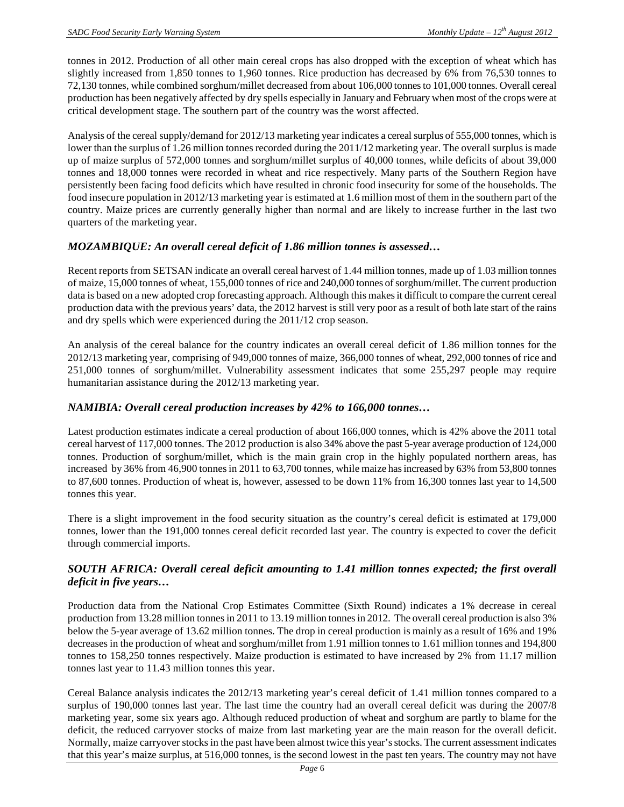tonnes in 2012. Production of all other main cereal crops has also dropped with the exception of wheat which has slightly increased from 1,850 tonnes to 1,960 tonnes. Rice production has decreased by 6% from 76,530 tonnes to 72,130 tonnes, while combined sorghum/millet decreased from about 106,000 tonnes to 101,000 tonnes. Overall cereal production has been negatively affected by dry spells especially in January and February when most of the crops were at critical development stage. The southern part of the country was the worst affected.

Analysis of the cereal supply/demand for 2012/13 marketing year indicates a cereal surplus of 555,000 tonnes, which is lower than the surplus of 1.26 million tonnes recorded during the 2011/12 marketing year. The overall surplus is made up of maize surplus of 572,000 tonnes and sorghum/millet surplus of 40,000 tonnes, while deficits of about 39,000 tonnes and 18,000 tonnes were recorded in wheat and rice respectively. Many parts of the Southern Region have persistently been facing food deficits which have resulted in chronic food insecurity for some of the households. The food insecure population in 2012/13 marketing year is estimated at 1.6 million most of them in the southern part of the country. Maize prices are currently generally higher than normal and are likely to increase further in the last two quarters of the marketing year.

#### *MOZAMBIQUE: An overall cereal deficit of 1.86 million tonnes is assessed…*

Recent reports from SETSAN indicate an overall cereal harvest of 1.44 million tonnes, made up of 1.03 million tonnes of maize, 15,000 tonnes of wheat, 155,000 tonnes of rice and 240,000 tonnes of sorghum/millet. The current production data is based on a new adopted crop forecasting approach. Although this makes it difficult to compare the current cereal production data with the previous years' data, the 2012 harvest is still very poor as a result of both late start of the rains and dry spells which were experienced during the 2011/12 crop season.

An analysis of the cereal balance for the country indicates an overall cereal deficit of 1.86 million tonnes for the 2012/13 marketing year, comprising of 949,000 tonnes of maize, 366,000 tonnes of wheat, 292,000 tonnes of rice and 251,000 tonnes of sorghum/millet. Vulnerability assessment indicates that some 255,297 people may require humanitarian assistance during the 2012/13 marketing year.

#### *NAMIBIA: Overall cereal production increases by 42% to 166,000 tonnes…*

Latest production estimates indicate a cereal production of about 166,000 tonnes, which is 42% above the 2011 total cereal harvest of 117,000 tonnes. The 2012 production is also 34% above the past 5-year average production of 124,000 tonnes. Production of sorghum/millet, which is the main grain crop in the highly populated northern areas, has increased by 36% from 46,900 tonnes in 2011 to 63,700 tonnes, while maize has increased by 63% from 53,800 tonnes to 87,600 tonnes. Production of wheat is, however, assessed to be down 11% from 16,300 tonnes last year to 14,500 tonnes this year.

There is a slight improvement in the food security situation as the country's cereal deficit is estimated at 179,000 tonnes, lower than the 191,000 tonnes cereal deficit recorded last year. The country is expected to cover the deficit through commercial imports.

#### *SOUTH AFRICA: Overall cereal deficit amounting to 1.41 million tonnes expected; the first overall deficit in five years…*

Production data from the National Crop Estimates Committee (Sixth Round) indicates a 1% decrease in cereal production from 13.28 million tonnes in 2011 to 13.19 million tonnes in 2012. The overall cereal production is also 3% below the 5-year average of 13.62 million tonnes. The drop in cereal production is mainly as a result of 16% and 19% decreases in the production of wheat and sorghum/millet from 1.91 million tonnes to 1.61 million tonnes and 194,800 tonnes to 158,250 tonnes respectively. Maize production is estimated to have increased by 2% from 11.17 million tonnes last year to 11.43 million tonnes this year.

Cereal Balance analysis indicates the 2012/13 marketing year's cereal deficit of 1.41 million tonnes compared to a surplus of 190,000 tonnes last year. The last time the country had an overall cereal deficit was during the 2007/8 marketing year, some six years ago. Although reduced production of wheat and sorghum are partly to blame for the deficit, the reduced carryover stocks of maize from last marketing year are the main reason for the overall deficit. Normally, maize carryover stocks in the past have been almost twice this year's stocks. The current assessment indicates that this year's maize surplus, at 516,000 tonnes, is the second lowest in the past ten years. The country may not have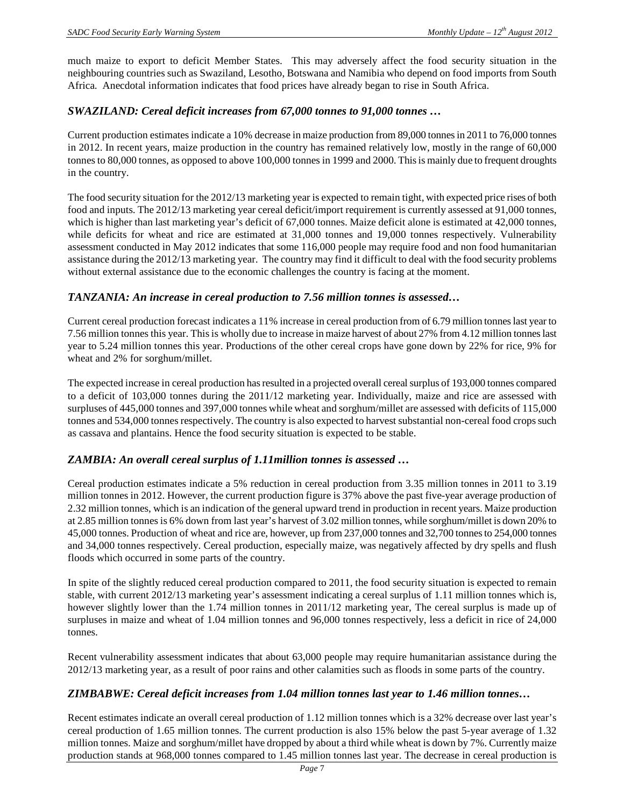much maize to export to deficit Member States. This may adversely affect the food security situation in the neighbouring countries such as Swaziland, Lesotho, Botswana and Namibia who depend on food imports from South Africa. Anecdotal information indicates that food prices have already began to rise in South Africa.

#### *SWAZILAND: Cereal deficit increases from 67,000 tonnes to 91,000 tonnes …*

Current production estimates indicate a 10% decrease in maize production from 89,000 tonnes in 2011 to 76,000 tonnes in 2012. In recent years, maize production in the country has remained relatively low, mostly in the range of 60,000 tonnes to 80,000 tonnes, as opposed to above 100,000 tonnes in 1999 and 2000. This is mainly due to frequent droughts in the country.

The food security situation for the 2012/13 marketing year is expected to remain tight, with expected price rises of both food and inputs. The 2012/13 marketing year cereal deficit/import requirement is currently assessed at 91,000 tonnes, which is higher than last marketing year's deficit of 67,000 tonnes. Maize deficit alone is estimated at 42,000 tonnes, while deficits for wheat and rice are estimated at 31,000 tonnes and 19,000 tonnes respectively. Vulnerability assessment conducted in May 2012 indicates that some 116,000 people may require food and non food humanitarian assistance during the 2012/13 marketing year. The country may find it difficult to deal with the food security problems without external assistance due to the economic challenges the country is facing at the moment.

#### *TANZANIA: An increase in cereal production to 7.56 million tonnes is assessed…*

Current cereal production forecast indicates a 11% increase in cereal production from of 6.79 million tonnes last year to 7.56 million tonnes this year. This is wholly due to increase in maize harvest of about 27% from 4.12 million tonnes last year to 5.24 million tonnes this year. Productions of the other cereal crops have gone down by 22% for rice, 9% for wheat and 2% for sorghum/millet.

The expected increase in cereal production has resulted in a projected overall cereal surplus of 193,000 tonnes compared to a deficit of 103,000 tonnes during the 2011/12 marketing year. Individually, maize and rice are assessed with surpluses of 445,000 tonnes and 397,000 tonnes while wheat and sorghum/millet are assessed with deficits of 115,000 tonnes and 534,000 tonnes respectively. The country is also expected to harvest substantial non-cereal food crops such as cassava and plantains. Hence the food security situation is expected to be stable.

#### *ZAMBIA: An overall cereal surplus of 1.11million tonnes is assessed …*

Cereal production estimates indicate a 5% reduction in cereal production from 3.35 million tonnes in 2011 to 3.19 million tonnes in 2012. However, the current production figure is 37% above the past five-year average production of 2.32 million tonnes, which is an indication of the general upward trend in production in recent years. Maize production at 2.85 million tonnes is 6% down from last year's harvest of 3.02 million tonnes, while sorghum/millet is down 20% to 45,000 tonnes. Production of wheat and rice are, however, up from 237,000 tonnes and 32,700 tonnes to 254,000 tonnes and 34,000 tonnes respectively. Cereal production, especially maize, was negatively affected by dry spells and flush floods which occurred in some parts of the country.

In spite of the slightly reduced cereal production compared to 2011, the food security situation is expected to remain stable, with current 2012/13 marketing year's assessment indicating a cereal surplus of 1.11 million tonnes which is, however slightly lower than the 1.74 million tonnes in 2011/12 marketing year, The cereal surplus is made up of surpluses in maize and wheat of 1.04 million tonnes and 96,000 tonnes respectively, less a deficit in rice of 24,000 tonnes.

Recent vulnerability assessment indicates that about 63,000 people may require humanitarian assistance during the 2012/13 marketing year, as a result of poor rains and other calamities such as floods in some parts of the country.

#### *ZIMBABWE: Cereal deficit increases from 1.04 million tonnes last year to 1.46 million tonnes…*

Recent estimates indicate an overall cereal production of 1.12 million tonnes which is a 32% decrease over last year's cereal production of 1.65 million tonnes. The current production is also 15% below the past 5-year average of 1.32 million tonnes. Maize and sorghum/millet have dropped by about a third while wheat is down by 7%. Currently maize production stands at 968,000 tonnes compared to 1.45 million tonnes last year. The decrease in cereal production is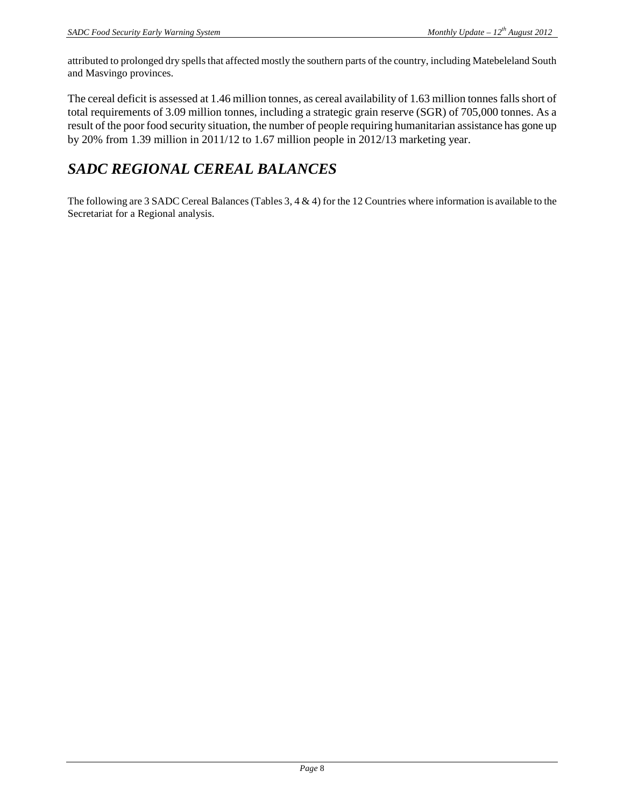attributed to prolonged dry spells that affected mostly the southern parts of the country, including Matebeleland South and Masvingo provinces.

The cereal deficit is assessed at 1.46 million tonnes, as cereal availability of 1.63 million tonnes falls short of total requirements of 3.09 million tonnes, including a strategic grain reserve (SGR) of 705,000 tonnes. As a result of the poor food security situation, the number of people requiring humanitarian assistance has gone up by 20% from 1.39 million in 2011/12 to 1.67 million people in 2012/13 marketing year.

### *SADC REGIONAL CEREAL BALANCES*

The following are 3 SADC Cereal Balances (Tables 3, 4 & 4) for the 12 Countries where information is available to the Secretariat for a Regional analysis.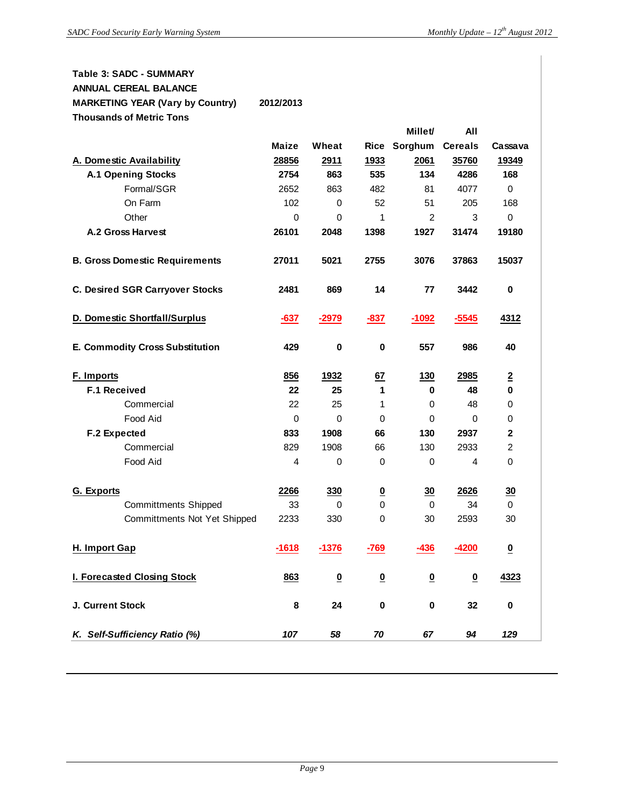#### **Table 3: SADC - SUMMARY ANNUAL CEREAL BALANCE MARKETING YEAR (Vary by Country) 2012/2013**

**Thousands of Metric Tons**

|                                        |              |                         |                          | Millet/                  | All                      |                          |
|----------------------------------------|--------------|-------------------------|--------------------------|--------------------------|--------------------------|--------------------------|
|                                        | <b>Maize</b> | Wheat                   | <b>Rice</b>              | Sorghum                  | <b>Cereals</b>           | Cassava                  |
| A. Domestic Availability               | 28856        | 2911                    | 1933                     | 2061                     | 35760                    | 19349                    |
| <b>A.1 Opening Stocks</b>              | 2754         | 863                     | 535                      | 134                      | 4286                     | 168                      |
| Formal/SGR                             | 2652         | 863                     | 482                      | 81                       | 4077                     | $\mathbf 0$              |
| On Farm                                | 102          | 0                       | 52                       | 51                       | 205                      | 168                      |
| Other                                  | $\mathbf 0$  | 0                       | 1                        | $\overline{2}$           | 3                        | $\mathbf 0$              |
| A.2 Gross Harvest                      | 26101        | 2048                    | 1398                     | 1927                     | 31474                    | 19180                    |
| <b>B. Gross Domestic Requirements</b>  | 27011        | 5021                    | 2755                     | 3076                     | 37863                    | 15037                    |
| <b>C. Desired SGR Carryover Stocks</b> | 2481         | 869                     | 14                       | 77                       | 3442                     | $\bf{0}$                 |
| <b>D. Domestic Shortfall/Surplus</b>   | $-637$       | $-2979$                 | $-837$                   | $-1092$                  | $-5545$                  | 4312                     |
| <b>E. Commodity Cross Substitution</b> | 429          | 0                       | 0                        | 557                      | 986                      | 40                       |
| F. Imports                             | 856          | 1932                    | 67                       | 130                      | 2985                     | $\overline{2}$           |
| F.1 Received                           | 22           | 25                      | 1                        | 0                        | 48                       | $\bf{0}$                 |
| Commercial                             | 22           | 25                      | 1                        | 0                        | 48                       | 0                        |
| Food Aid                               | 0            | $\Omega$                | 0                        | 0                        | 0                        | 0                        |
| F.2 Expected                           | 833          | 1908                    | 66                       | 130                      | 2937                     | $\mathbf{2}$             |
| Commercial                             | 829          | 1908                    | 66                       | 130                      | 2933                     | $\overline{2}$           |
| Food Aid                               | 4            | 0                       | 0                        | 0                        | 4                        | $\Omega$                 |
| G. Exports                             | 2266         | 330                     | $\underline{\mathbf{0}}$ | 30                       | 2626                     | 30                       |
| <b>Committments Shipped</b>            | 33           | $\mathbf 0$             | 0                        | 0                        | 34                       | 0                        |
| Committments Not Yet Shipped           | 2233         | 330                     | 0                        | 30                       | 2593                     | 30                       |
| H. Import Gap                          | $-1618$      | $-1376$                 | $-769$                   | $-436$                   | $-4200$                  | $\underline{\mathbf{0}}$ |
| I. Forecasted Closing Stock            | 863          | $\overline{\mathbf{0}}$ | $\underline{\mathbf{0}}$ | $\underline{\mathbf{0}}$ | $\underline{\mathbf{0}}$ | 4323                     |
| J. Current Stock                       | 8            | 24                      | 0                        | $\pmb{0}$                | 32                       | 0                        |
| K. Self-Sufficiency Ratio (%)          | 107          | 58                      | 70                       | 67                       | 94                       | 129                      |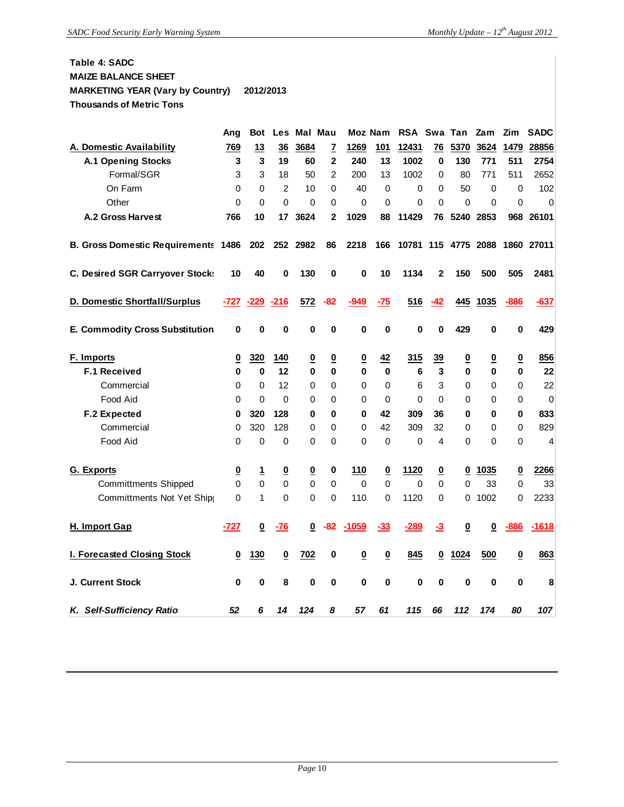#### **Table 4: SADC MAIZE BALANCE SHEET MARKETING YEAR (Vary by Country) 2012/2013 Thousands of Metric Tons**

|                                            | Ang                      | <b>Bot</b>              | Les                      | Mal Mau                  |                |                          | Moz Nam                  | RSA Swa        |                          | Tan                     | Zam                     | Zim                      | <b>SADC</b>      |
|--------------------------------------------|--------------------------|-------------------------|--------------------------|--------------------------|----------------|--------------------------|--------------------------|----------------|--------------------------|-------------------------|-------------------------|--------------------------|------------------|
| A. Domestic Availability                   | 769                      | 13                      | 36                       | 3684                     | <u>7</u>       | 1269                     | 101                      | 12431          | 76                       | 5370                    | 3624                    | 1479                     | 28856            |
| <b>A.1 Opening Stocks</b>                  | 3                        | 3                       | 19                       | 60                       | $\overline{2}$ | 240                      | 13                       | 1002           | 0                        | 130                     | 771                     | 511                      | 2754             |
| Formal/SGR                                 | 3                        | 3                       | 18                       | 50                       | $\overline{2}$ | 200                      | 13                       | 1002           | $\Omega$                 | 80                      | 771                     | 511                      | 2652             |
| On Farm                                    | 0                        | 0                       | $\overline{2}$           | 10                       | $\Omega$       | 40                       | 0                        | 0              | 0                        | 50                      | 0                       | 0                        | 102              |
| Other                                      | 0                        | 0                       | $\Omega$                 | $\Omega$                 | $\Omega$       | $\Omega$                 | 0                        | 0              | 0                        | $\Omega$                | 0                       | 0                        | 0                |
| <b>A.2 Gross Harvest</b>                   | 766                      | 10                      | 17                       | 3624                     | $\mathbf{2}$   | 1029                     | 88                       | 11429          | 76                       | 5240                    | 2853                    | 968                      | 26101            |
| <b>B. Gross Domestic Requirements 1486</b> |                          | 202                     |                          | 252 2982                 | 86             | 2218                     | 166                      | 10781 115 4775 |                          |                         | 2088                    |                          | 1860 27011       |
| C. Desired SGR Carryover Stocks            | 10                       | 40                      | 0                        | 130                      | 0              | 0                        | 10                       | 1134           | 2                        | 150                     | 500                     | 505                      | 2481             |
| D. Domestic Shortfall/Surplus              | -727                     | $-229$                  | $-216$                   | 572                      | -82            | -949                     | $-75$                    | 516            | -42                      | 445                     | 1035                    | $-886$                   | $-637$           |
| <b>E. Commodity Cross Substitution</b>     | 0                        | 0                       | 0                        | 0                        | 0              | 0                        | 0                        | 0              | 0                        | 429                     | 0                       | 0                        | 429              |
| F. Imports                                 | 0                        | 320                     | 140                      | <u>0</u>                 | <u>0</u>       | $\underline{\mathbf{0}}$ | 42                       | 315            | <u>39</u>                | $\overline{\mathbf{0}}$ | $\overline{\mathbf{0}}$ | <u>0</u>                 | 856              |
| <b>F.1 Received</b>                        | 0                        | 0                       | 12                       | 0                        | 0              | 0                        | $\bf{0}$                 | 6              | 3                        | 0                       | 0                       | 0                        | 22               |
| Commercial                                 | 0                        | 0                       | 12                       | 0                        | 0              | 0                        | 0                        | 6              | 3                        | 0                       | 0                       | 0                        | 22               |
| Food Aid                                   | $\Omega$                 | $\Omega$                | $\Omega$                 | 0                        | $\Omega$       | $\Omega$                 | $\Omega$                 | $\Omega$       | $\Omega$                 | 0                       | 0                       | 0                        | $\boldsymbol{0}$ |
| F.2 Expected                               | 0                        | 320                     | 128                      | 0                        | 0              | 0                        | 42                       | 309            | 36                       | 0                       | 0                       | 0                        | 833              |
| Commercial                                 | 0                        | 320                     | 128                      | 0                        | 0              | $\Omega$                 | 42                       | 309            | 32                       | 0                       | 0                       | 0                        | 829              |
| Food Aid                                   | 0                        | 0                       | $\mathbf 0$              | 0                        | 0              | $\Omega$                 | 0                        | 0              | 4                        | $\Omega$                | 0                       | 0                        | 4                |
| <b>G.</b> Exports                          | $\underline{\mathbf{0}}$ | <u>1</u>                | $\overline{\mathbf{0}}$  | $\underline{\mathbf{0}}$ | 0              | 110                      | $\underline{\mathbf{0}}$ | 1120           | $\underline{\mathbf{0}}$ | 0                       | 1035                    | $\overline{\mathbf{0}}$  | 2266             |
| <b>Committments Shipped</b>                | $\mathbf 0$              | $\mathbf 0$             | $\Omega$                 | 0                        | 0              | 0                        | 0                        | 0              | $\Omega$                 | $\Omega$                | 33                      | 0                        | 33               |
| Committments Not Yet Ship                  | $\Omega$                 | 1                       | $\Omega$                 | 0                        | $\Omega$       | 110                      | 0                        | 1120           | 0                        | 0                       | 1002                    | 0                        | 2233             |
| H. Import Gap                              | $-727$                   | $\overline{\mathbf{0}}$ | -76                      | 0                        | -82            | -1059                    | $-33$                    | $-289$         | $\overline{-3}$          | 0                       | 0                       | -886                     | $-1618$          |
| I. Forecasted Closing Stock                | $\overline{\mathbf{0}}$  | 130                     | $\underline{\mathbf{0}}$ | 702                      | 0              | $\overline{\mathbf{0}}$  | $\overline{\mathbf{0}}$  | 845            | $\overline{\mathbf{0}}$  | 1024                    | 500                     | $\underline{\mathbf{0}}$ | 863              |
| J. Current Stock                           | 0                        | 0                       | 8                        | 0                        | 0              | $\bf{0}$                 | 0                        | 0              | 0                        | 0                       | 0                       | 0                        | 8                |
| K. Self-Sufficiency Ratio                  | 52                       | 6                       | 14                       | 124                      | 8              | 57                       | 61                       | 115            | 66                       | 112                     | 174                     | 80                       | 107              |